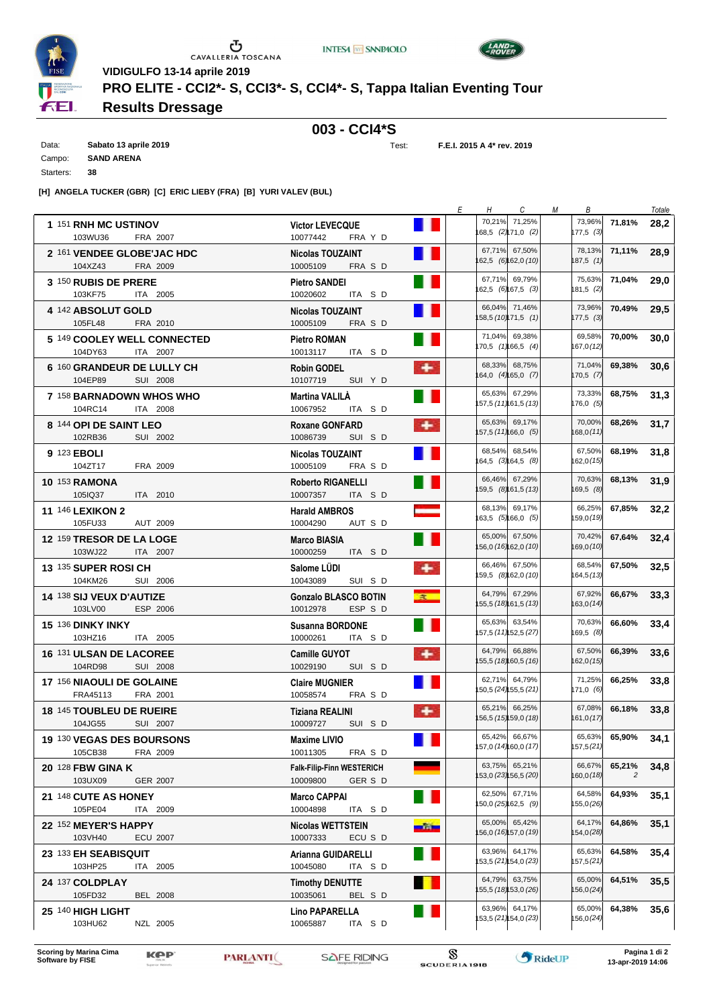| <b>INTESA M SANPAOLO</b> |  |  |  |
|--------------------------|--|--|--|
|--------------------------|--|--|--|





 $\begin{array}{c}\n\bullet \\
\bullet \\
\bullet \\
\bullet \\
\bullet\n\end{array}$  CAVALLERIA TOSCANA **VIDIGULFO 13-14 aprile 2019**

**PRO ELITE - CCI2\*- S, CCI3\*- S, CCI4\*- S, Tappa Italian Eventing Tour**

## **Results Dressage**

## **003 - CCI4\*S**

Data: **Sabato 13 aprile 2019** Campo: **SAND ARENA** Starters: **38**

Test: **F.E.I. 2015 A 4\* rev. 2019**

**[H] ANGELA TUCKER (GBR) [C] ERIC LIEBY (FRA) [B] YURI VALEV (BUL)**

|                                                          |                                                                           | Ε<br>H | $\mathcal{C}$<br>М                    | В                           |                          | Totale |
|----------------------------------------------------------|---------------------------------------------------------------------------|--------|---------------------------------------|-----------------------------|--------------------------|--------|
| 1 151 RNH MC USTINOV<br>103WU36<br>FRA 2007              | <b>Victor LEVECQUE</b><br>10077442<br>FRA Y D                             |        | 70,21% 71,25%<br>68,5 (2) 71,0 (2)    | 177,5 (3)                   | 73,96% 71,81%            | 28,2   |
| 2 161 VENDEE GLOBE'JAC HDC<br>104XZ43<br>FRA 2009        | <b>Nicolas TOUZAINT</b><br>10005109<br>FRA S D                            |        | 67,71% 67,50%<br>62,5 (6) 62,0 (10)   | 78,13%<br>187,5 (1)         | 71,11%                   | 28,9   |
| 3 150 RUBIS DE PRERE<br>103KF75<br>ITA 2005              | <b>Pietro SANDEI</b><br>10020602<br>ITA SD                                |        | 67,71% 69,79%<br>162,5 (6) 67,5 (3)   | 75,63%<br>181,5 (2)         | 71.04%                   | 29,0   |
| 4 <sup>142</sup> ABSOLUT GOLD<br>105FL48<br>FRA 2010     | Nicolas TOUZAINT<br>10005109<br>FRA S D                                   |        | 66,04% 71,46%<br>58,5 (10) 71,5 (1)   | 73,96%<br>$177,5$ (3)       | 70,49%                   | 29,5   |
| 5 149 COOLEY WELL CONNECTED<br>104DY63<br>ITA 2007       | <b>Pietro ROMAN</b><br>10013117<br>ITA SD                                 |        | 71,04% 69,38%<br>70,5 (1) 66,5 (4)    | 69,58%<br>167,0(12)         | 70,00%                   | 30,0   |
| 6 160 GRANDEUR DE LULLY CH<br>104EP89<br>SUI 2008        | $\bullet$<br><b>Robin GODEL</b><br>10107719<br>SUI Y D                    |        | 68,33% 68,75%<br>64,0 (4) 65,0 (7)    | 71.04%<br>170,5(7)          | 69,38%                   | 30,6   |
| 7 158 BARNADOWN WHOS WHO<br>104RC14<br>ITA 2008          | Martina VALILA<br>10067952<br>ITA SD                                      |        | 65,63% 67,29%<br>157,5 (11) 61,5 (13) | 73,33%<br>176,0 (5)         | 68,75%                   | 31,3   |
| 8 144 OPI DE SAINT LEO<br>102RB36<br>SUI 2002            | ٠<br><b>Roxane GONFARD</b><br>SUI SD<br>10086739                          |        | 65,63% 69,17%<br>57,5 (11) 66,0 (5)   | 70,00%<br>168,0 <i>(11)</i> | 68,26%                   | 31,7   |
| 9 123 EBOLI<br>104ZT17<br>FRA 2009                       | <b>Nicolas TOUZAINT</b><br>10005109<br>FRA S D                            |        | 68,54% 68,54%<br>164,5 (3) 64,5 (8)   | 67,50%<br>162,0 <i>(15)</i> | 68,19%                   | 31,8   |
| <b>10 153 RAMONA</b><br>105IQ37<br>ITA 2010              | Roberto RIGANELLI<br>10007357<br>ITA SD                                   |        | 66,46% 67,29%<br>159,5 (8) 61,5 (13)  | 70,63%<br>169,5 (8)         | 68,13%                   | 31,9   |
| 11 146 LEXIKON 2<br>105FU33<br>AUT 2009                  | $\sim$<br><b>Harald AMBROS</b><br>AUT S D<br>10004290                     |        | 68,13% 69,17%<br>163,5 (5) 66,0 (5)   | 66,25%<br>159,0 (19)        | 67.85%                   | 32,2   |
| 12 159 TRESOR DE LA LOGE<br>103WJ22<br><b>ITA 2007</b>   | Marco BIASIA<br>10000259<br>ITA SD                                        |        | 65,00% 67,50%<br>56,0 (16) 62,0 (10)  | 70,42%<br>169,0 (10)        | 67.64%                   | 32,4   |
| 13 135 SUPER ROSI CH<br>104KM26<br>SUI 2006              | ٠<br>Salome LUDI<br>10043089<br>SUI SD                                    |        | 66,46% 67,50%<br>59,5 (8) 62,0 (10)   | 68,54%<br>164,5 (13)        | 67,50%                   | 32,5   |
| 14 138 SIJ VEUX D'AUTIZE<br>103LV00<br>ESP 2006          | <b>SR</b><br><b>Gonzalo BLASCO BOTIN</b><br>10012978<br>ESP S D           |        | 64,79% 67,29%<br>55,5 (18) 61,5 (13)  | 67,92%<br>163,0 (14)        | 66,67%                   | 33,3   |
| <b>15 136 DINKY INKY</b><br>103HZ16<br>ITA 2005          | <b>Susanna BORDONE</b><br>10000261<br>ITA SD                              |        | 65,63% 63,54%<br>157,5 (11) 52,5 (27) | 70,63%<br>169,5 (8)         | 66,60%                   | 33,4   |
| <b>16 131 ULSAN DE LACOREE</b><br>104RD98<br>SUI 2008    | ٠<br><b>Camille GUYOT</b><br>10029190<br>SUI SD                           |        | 64,79% 66,88%<br>55,5 (18) 60,5 (16)  | 67,50%<br>162,0 (15)        | 66,39%                   | 33,6   |
| <b>17 156 NIAOULI DE GOLAINE</b><br>FRA45113<br>FRA 2001 | <b>Claire MUGNIER</b><br>10058574<br>FRA S D                              |        | 62,71% 64,79%<br>150,5 (24) 55,5 (21) | 71,25%<br>171,0 (6)         | 66,25%                   | 33,8   |
| <b>18 145 TOUBLEU DE RUEIRE</b><br>104JG55<br>SUI 2007   | ٠<br>Tiziana REALINI<br>10009727<br>SUI SD                                |        | 65,21% 66,25%<br>56,5 (15) 59,0 (18)  | 67,08%<br>161,0 (17)        | 66.18%                   | 33,8   |
| 19 130 VEGAS DES BOURSONS<br>105CB38<br>FRA 2009         | Maxime LIVIO<br>10011305<br>FRA S D                                       |        | 65,42% 66,67%<br>157,0 (14) 60,0 (17) | 157,5 (21)                  | 65,63% 65,90%            | 34,1   |
| <b>20 128 FBW GINA K</b><br>103UX09<br><b>GER 2007</b>   | <b>Falk-Filip-Finn WESTERICH</b><br>10009800<br>GER S D                   |        | 63,75% 65,21%<br>53,0 (23) 56,5 (20)  | 66,67%<br>160,0 (18)        | 65,21%<br>$\overline{c}$ | 34,8   |
| 21 148 CUTE AS HONEY<br>105PE04<br>ITA 2009              | <b>Marco CAPPAI</b><br>10004898<br>ITA SD                                 |        | 62,50% 67,71%<br>50,0 (25) 62,5 (9)   | 64,58%<br>155,0 (26)        | 64,93%                   | 35,1   |
| 22 152 MEYER'S HAPPY<br><b>ECU 2007</b><br>103VH40       | <b>Nicolas WETTSTEIN</b><br>ينقد<br>10007333<br>ECU S D                   |        | 65,00% 65,42%<br>56,0 (16) 57,0 (19)  | 64,17%<br>154,0 (28)        | 64,86%                   | 35,1   |
| 23 133 EH SEABISQUIT<br>103HP25<br>ITA 2005              | Arianna GUIDARELLI<br>10045080<br>ITA SD                                  |        | 63,96% 64,17%<br>53,5 (21) 54,0 (23)  | 65,63%<br>157,5 (21)        | 64,58%                   | 35,4   |
| 24 137 COLDPLAY<br>105FD32<br><b>BEL 2008</b>            | <b>The Second Second</b><br><b>Timothy DENUTTE</b><br>10035061<br>BEL S D |        | 64,79% 63,75%<br>55,5 (18) 53,0 (26)  | 65,00%<br>156,0 (24)        | 64,51%                   | 35,5   |
| 25 140 HIGH LIGHT<br>103HU62<br>NZL 2005                 | H<br><b>Lino PAPARELLA</b><br>ITA S D<br>10065887                         |        | 63,96% 64,17%<br>53,5 (21) 54,0 (23)  | 65,00%<br>156,0 (24)        | 64,38%                   | 35,6   |